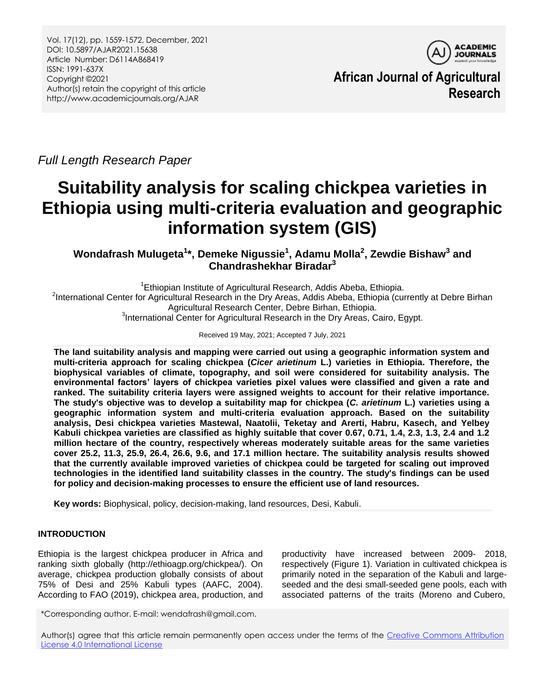

**African Journal of Agricultural Research**

*Full Length Research Paper*

# **Suitability analysis for scaling chickpea varieties in Ethiopia using multi-criteria evaluation and geographic information system (GIS)**

**Wondafrash Mulugeta<sup>1</sup> \*, Demeke Nigussie<sup>1</sup> , Adamu Molla<sup>2</sup> , Zewdie Bishaw<sup>3</sup> and Chandrashekhar Biradar<sup>3</sup>**

<sup>1</sup>Ethiopian Institute of Agricultural Research, Addis Abeba, Ethiopia. <sup>2</sup>International Center for Agricultural Research in the Dry Areas, Addis Abeba, Ethiopia (currently at Debre Birhan Agricultural Research Center, Debre Birhan, Ethiopia. <sup>3</sup>International Center for Agricultural Research in the Dry Areas, Cairo, Egypt.

Received 19 May, 2021; Accepted 7 July, 2021

**The land suitability analysis and mapping were carried out using a geographic information system and multi-criteria approach for scaling chickpea (***Cicer arietinum* **L.) varieties in Ethiopia. Therefore, the biophysical variables of climate, topography, and soil were considered for suitability analysis. The environmental factors' layers of chickpea varieties pixel values were classified and given a rate and ranked. The suitability criteria layers were assigned weights to account for their relative importance. The study's objective was to develop a suitability map for chickpea (***C. arietinum* **L.) varieties using a geographic information system and multi-criteria evaluation approach. Based on the suitability analysis, Desi chickpea varieties Mastewal, Naatolii, Teketay and Arerti, Habru, Kasech, and Yelbey Kabuli chickpea varieties are classified as highly suitable that cover 0.67, 0.71, 1.4, 2.3, 1.3, 2.4 and 1.2 million hectare of the country, respectively whereas moderately suitable areas for the same varieties cover 25.2, 11.3, 25.9, 26.4, 26.6, 9.6, and 17.1 million hectare. The suitability analysis results showed that the currently available improved varieties of chickpea could be targeted for scaling out improved technologies in the identified land suitability classes in the country. The study's findings can be used for policy and decision-making processes to ensure the efficient use of land resources.** 

**Key words:** Biophysical, policy, decision-making, land resources, Desi, Kabuli.

# **INTRODUCTION**

Ethiopia is the largest chickpea producer in Africa and ranking sixth globally (http://ethioagp.org/chickpea/). On average, chickpea production globally consists of about 75% of Desi and 25% Kabuli types (AAFC, 2004). According to FAO (2019), chickpea area, production, and

productivity have increased between 2009- 2018, respectively (Figure 1). Variation in cultivated chickpea is primarily noted in the separation of the Kabuli and largeseeded and the desi small-seeded gene pools, each with associated patterns of the traits (Moreno and Cubero,

\*Corresponding author. E-mail: wendafrash@gmail.com.

Author(s) agree that this article remain permanently open access under the terms of the [Creative Commons Attribution](http://creativecommons.org/licenses/by/4.0/deed.en_US)  [License 4.0 International License](http://creativecommons.org/licenses/by/4.0/deed.en_US)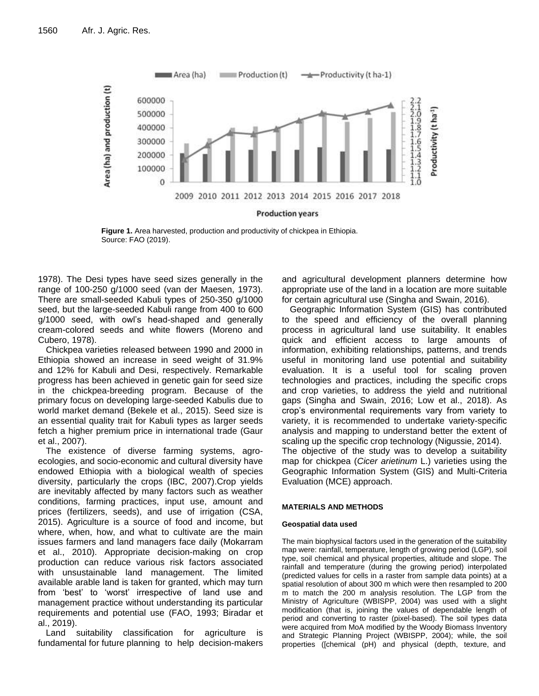

**Figure 1.** Area harvested, production and productivity of chickpea in Ethiopia. Source: FAO (2019).

1978). The Desi types have seed sizes generally in the range of 100-250 g/1000 seed (van der Maesen, 1973). There are small-seeded Kabuli types of 250-350 g/1000 seed, but the large-seeded Kabuli range from 400 to 600 g/1000 seed, with owl's head-shaped and generally cream-colored seeds and white flowers (Moreno and Cubero, 1978).

Chickpea varieties released between 1990 and 2000 in Ethiopia showed an increase in seed weight of 31.9% and 12% for Kabuli and Desi, respectively. Remarkable progress has been achieved in genetic gain for seed size in the chickpea-breeding program. Because of the primary focus on developing large-seeded Kabulis due to world market demand (Bekele et al., 2015). Seed size is an essential quality trait for Kabuli types as larger seeds fetch a higher premium price in international trade (Gaur et al., 2007).

The existence of diverse farming systems, agroecologies, and socio-economic and cultural diversity have endowed Ethiopia with a biological wealth of species diversity, particularly the crops (IBC, 2007).Crop yields are inevitably affected by many factors such as weather conditions, farming practices, input use, amount and prices (fertilizers, seeds), and use of irrigation (CSA, 2015). Agriculture is a source of food and income, but where, when, how, and what to cultivate are the main issues farmers and land managers face daily (Mokarram et al., 2010). Appropriate decision-making on crop production can reduce various risk factors associated with unsustainable land management. The limited available arable land is taken for granted, which may turn from 'best' to 'worst' irrespective of land use and management practice without understanding its particular requirements and potential use (FAO, 1993; Biradar et al., 2019).

Land suitability classification for agriculture is fundamental for future planning to help decision-makers and agricultural development planners determine how appropriate use of the land in a location are more suitable for certain agricultural use (Singha and Swain, 2016).

Geographic Information System (GIS) has contributed to the speed and efficiency of the overall planning process in agricultural land use suitability. It enables quick and efficient access to large amounts of information, exhibiting relationships, patterns, and trends useful in monitoring land use potential and suitability evaluation. It is a useful tool for scaling proven technologies and practices, including the specific crops and crop varieties, to address the yield and nutritional gaps (Singha and Swain, 2016; Low et al., 2018). As crop's environmental requirements vary from variety to variety, it is recommended to undertake variety-specific analysis and mapping to understand better the extent of scaling up the specific crop technology (Nigussie, 2014). The objective of the study was to develop a suitability map for chickpea (*Cicer arietinum* L.) varieties using the Geographic Information System (GIS) and Multi-Criteria Evaluation (MCE) approach.

### **MATERIALS AND METHODS**

#### **Geospatial data used**

The main biophysical factors used in the generation of the suitability map were: rainfall, temperature, length of growing period (LGP), soil type, soil chemical and physical properties, altitude and slope. The rainfall and temperature (during the growing period) interpolated (predicted values for cells in a raster from sample data points) at a spatial resolution of about 300 m which were then resampled to 200 m to match the 200 m analysis resolution. The LGP from the Ministry of Agriculture (WBISPP, 2004) was used with a slight modification (that is, joining the values of dependable length of period and converting to raster (pixel-based). The soil types data were acquired from MoA modified by the Woody Biomass Inventory and Strategic Planning Project (WBISPP, 2004); while, the soil properties ([chemical (pH) and physical (depth, texture, and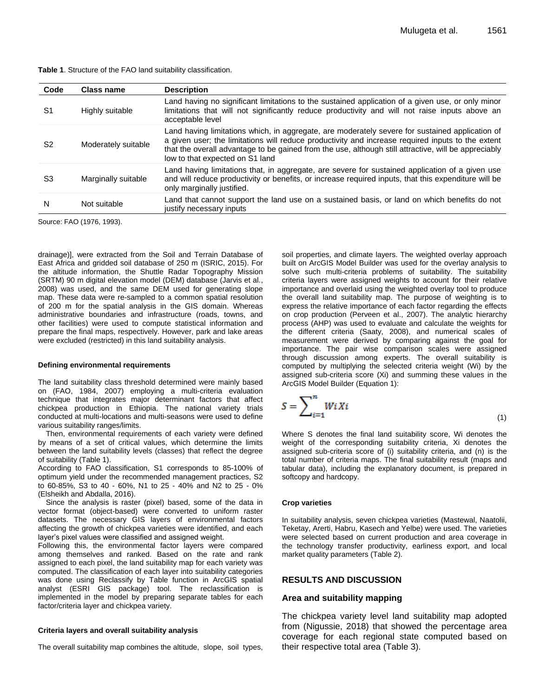**Table 1**. Structure of the FAO land suitability classification.

| Code           | Class name          | <b>Description</b>                                                                                                                                                                                                                                                                                                                              |
|----------------|---------------------|-------------------------------------------------------------------------------------------------------------------------------------------------------------------------------------------------------------------------------------------------------------------------------------------------------------------------------------------------|
| S1             | Highly suitable     | Land having no significant limitations to the sustained application of a given use, or only minor<br>limitations that will not significantly reduce productivity and will not raise inputs above an<br>acceptable level                                                                                                                         |
| S <sub>2</sub> | Moderately suitable | Land having limitations which, in aggregate, are moderately severe for sustained application of<br>a given user; the limitations will reduce productivity and increase required inputs to the extent<br>that the overall advantage to be gained from the use, although still attractive, will be appreciably<br>low to that expected on S1 land |
| S3             | Marginally suitable | Land having limitations that, in aggregate, are severe for sustained application of a given use<br>and will reduce productivity or benefits, or increase required inputs, that this expenditure will be<br>only marginally justified.                                                                                                           |
| N              | Not suitable        | Land that cannot support the land use on a sustained basis, or land on which benefits do not<br>justify necessary inputs                                                                                                                                                                                                                        |

Source: FAO (1976, 1993).

drainage)], were extracted from the Soil and Terrain Database of East Africa and gridded soil database of 250 m (ISRIC, 2015). For the altitude information, the Shuttle Radar Topography Mission (SRTM) 90 m digital elevation model (DEM) database (Jarvis et al., 2008) was used, and the same DEM used for generating slope map. These data were re-sampled to a common spatial resolution of 200 m for the spatial analysis in the GIS domain. Whereas administrative boundaries and infrastructure (roads, towns, and other facilities) were used to compute statistical information and prepare the final maps, respectively. However, park and lake areas were excluded (restricted) in this land suitability analysis.

#### **Defining environmental requirements**

The land suitability class threshold determined were mainly based on (FAO, 1984, 2007) employing a multi-criteria evaluation technique that integrates major determinant factors that affect chickpea production in Ethiopia. The national variety trials conducted at multi-locations and multi-seasons were used to define various suitability ranges/limits.

Then, environmental requirements of each variety were defined by means of a set of critical values, which determine the limits between the land suitability levels (classes) that reflect the degree of suitability (Table 1).

According to FAO classification, S1 corresponds to 85-100% of optimum yield under the recommended management practices, S2 to 60-85%, S3 to 40 - 60%, N1 to 25 - 40% and N2 to 25 - 0% (Elsheikh and Abdalla, 2016).

Since the analysis is raster (pixel) based, some of the data in vector format (object-based) were converted to uniform raster datasets. The necessary GIS layers of environmental factors affecting the growth of chickpea varieties were identified, and each layer's pixel values were classified and assigned weight.

Following this, the environmental factor layers were compared among themselves and ranked. Based on the rate and rank assigned to each pixel, the land suitability map for each variety was computed. The classification of each layer into suitability categories was done using Reclassify by Table function in ArcGIS spatial analyst (ESRI GIS package) tool. The reclassification is implemented in the model by preparing separate tables for each factor/criteria layer and chickpea variety.

#### **Criteria layers and overall suitability analysis**

The overall suitability map combines the altitude, slope, soil types,

soil properties, and climate layers. The weighted overlay approach built on ArcGIS Model Builder was used for the overlay analysis to solve such multi-criteria problems of suitability. The suitability criteria layers were assigned weights to account for their relative importance and overlaid using the weighted overlay tool to produce the overall land suitability map. The purpose of weighting is to express the relative importance of each factor regarding the effects on crop production (Perveen et al., 2007). The analytic hierarchy process (AHP) was used to evaluate and calculate the weights for the different criteria (Saaty, 2008), and numerical scales of measurement were derived by comparing against the goal for importance. The pair wise comparison scales were assigned through discussion among experts. The overall suitability is computed by multiplying the selected criteria weight (Wi) by the assigned sub-criteria score (Xi) and summing these values in the ArcGIS Model Builder (Equation 1):

$$
S = \sum_{i=1}^{n} WiXi \tag{1}
$$

Where S denotes the final land suitability score, Wi denotes the weight of the corresponding suitability criteria, Xi denotes the assigned sub-criteria score of (i) suitability criteria, and (n) is the total number of criteria maps. The final suitability result (maps and tabular data), including the explanatory document, is prepared in softcopy and hardcopy.

#### **Crop varieties**

In suitability analysis, seven chickpea varieties (Mastewal, Naatolii, Teketay, Arerti, Habru, Kasech and Yelbe) were used. The varieties were selected based on current production and area coverage in the technology transfer productivity, earliness export, and local market quality parameters (Table 2).

### **RESULTS AND DISCUSSION**

#### **Area and suitability mapping**

The chickpea variety level land suitability map adopted from (Nigussie, 2018) that showed the percentage area coverage for each regional state computed based on their respective total area (Table 3).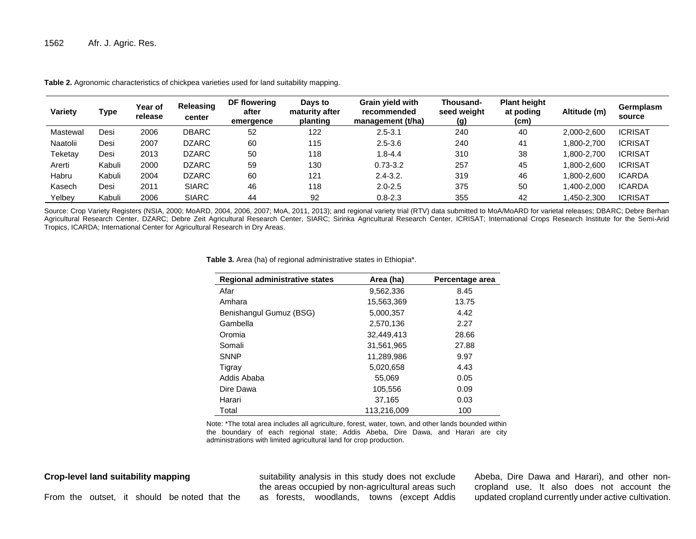| Variety  | Type   | Year of<br>release | Releasing<br>center | DF flowering<br>after<br>emergence | Days to<br>maturity after<br>planting | <b>Grain vield with</b><br>recommended<br>management (t/ha) | Thousand-<br>seed weight<br>(g) | <b>Plant height</b><br>at poding<br>(c <sub>m</sub> ) | Altitude (m) | Germplasm<br>source |
|----------|--------|--------------------|---------------------|------------------------------------|---------------------------------------|-------------------------------------------------------------|---------------------------------|-------------------------------------------------------|--------------|---------------------|
| Mastewal | Desi   | 2006               | <b>DBARC</b>        | 52                                 | 122                                   | $2.5 - 3.1$                                                 | 240                             | 40                                                    | 2,000-2,600  | <b>ICRISAT</b>      |
| Naatolii | Desi   | 2007               | <b>DZARC</b>        | 60                                 | 115                                   | $2.5 - 3.6$                                                 | 240                             | 41                                                    | .800-2.700   | <b>ICRISAT</b>      |
| Teketay  | Desi   | 2013               | <b>DZARC</b>        | 50                                 | 118                                   | $1.8 - 4.4$                                                 | 310                             | 38                                                    | .800-2.700   | <b>ICRISAT</b>      |
| Arerti   | Kabuli | 2000               | <b>DZARC</b>        | 59                                 | 130                                   | $0.73 - 3.2$                                                | 257                             | 45                                                    | .800-2.600   | <b>ICRISAT</b>      |
| Habru    | Kabuli | 2004               | <b>DZARC</b>        | 60                                 | 121                                   | $2.4 - 3.2.$                                                | 319                             | 46                                                    | .800-2.600   | <b>ICARDA</b>       |
| Kasech   | Desi   | 2011               | <b>SIARC</b>        | 46                                 | 118                                   | $2.0 - 2.5$                                                 | 375                             | 50                                                    | .400-2.000   | <b>ICARDA</b>       |
| Yelbey   | Kabuli | 2006               | <b>SIARC</b>        | 44                                 | 92                                    | $0.8 - 2.3$                                                 | 355                             | 42                                                    | 1,450-2,300  | <b>ICRISAT</b>      |

**Table 2.** Agronomic characteristics of chickpea varieties used for land suitability mapping.

Source: Crop Variety Registers (NSIA, 2000; MoARD, 2004, 2006, 2007; MoA, 2011, 2013); and regional variety trial (RTV) data submitted to MoA/MoARD for varietal releases; DBARC; Debre Berhan Agricultural Research Center, DZARC; Debre Zeit Agricultural Research Center, SIARC; Sirinka Agricultural Research Center, ICRISAT; International Crops Research Institute for the Semi-Arid Tropics, ICARDA; International Center for Agricultural Research in Dry Areas.

**Table 3.** Area (ha) of regional administrative states in Ethiopia\*.

| <b>Regional administrative states</b> | Area (ha)   | Percentage area |
|---------------------------------------|-------------|-----------------|
| Afar                                  | 9,562,336   | 8.45            |
| Amhara                                | 15,563,369  | 13.75           |
| Benishangul Gumuz (BSG)               | 5,000,357   | 4.42            |
| Gambella                              | 2,570,136   | 2.27            |
| Oromia                                | 32.449.413  | 28.66           |
| Somali                                | 31.561.965  | 27.88           |
| <b>SNNP</b>                           | 11,289,986  | 9.97            |
| Tigray                                | 5,020,658   | 4.43            |
| Addis Ababa                           | 55.069      | 0.05            |
| Dire Dawa                             | 105,556     | 0.09            |
| Harari                                | 37.165      | 0.03            |
| Total                                 | 113,216,009 | 100             |

Note: \*The total area includes all agriculture, forest, water, town, and other lands bounded within the boundary of each regional state; Addis Abeba, Dire Dawa, and Harari are city administrations with limited agricultural land for crop production.

**Crop-level land suitability mapping** 

From the outset, it should be noted that the

suitability analysis in this study does not exclude the areas occupied by non-agricultural areas such as forests, woodlands, towns (except Addis

Abeba, Dire Dawa and Harari), and other noncropland use. It also does not account the updated cropland currently under active cultivation.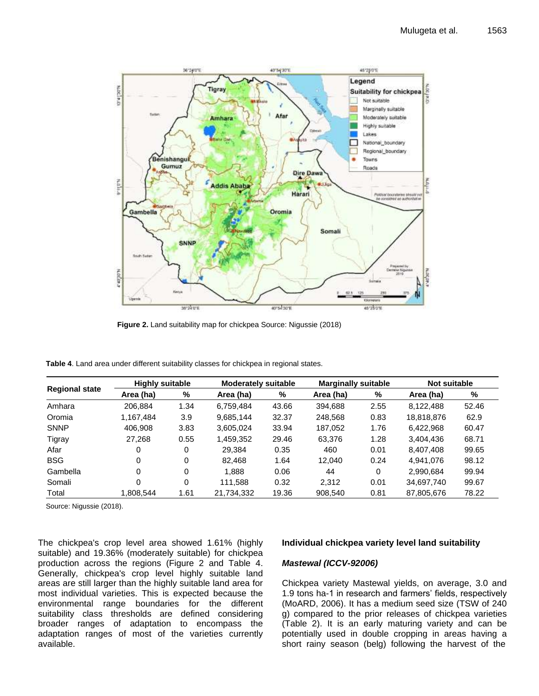

**Figure 2.** Land suitability map for chickpea Source: Nigussie (2018)

**Table 4**. Land area under different suitability classes for chickpea in regional states.

|                       | <b>Highly suitable</b> |      |            | <b>Moderately suitable</b> |           | <b>Marginally suitable</b> |            | Not suitable |  |
|-----------------------|------------------------|------|------------|----------------------------|-----------|----------------------------|------------|--------------|--|
| <b>Regional state</b> | Area (ha)              | %    | Area (ha)  | %                          | Area (ha) | %                          | Area (ha)  | %            |  |
| Amhara                | 206.884                | 1.34 | 6.759.484  | 43.66                      | 394.688   | 2.55                       | 8,122,488  | 52.46        |  |
| Oromia                | 1,167,484              | 3.9  | 9,685,144  | 32.37                      | 248,568   | 0.83                       | 18,818,876 | 62.9         |  |
| <b>SNNP</b>           | 406.908                | 3.83 | 3,605,024  | 33.94                      | 187,052   | 1.76                       | 6,422,968  | 60.47        |  |
| Tigray                | 27.268                 | 0.55 | 1,459,352  | 29.46                      | 63.376    | 1.28                       | 3,404,436  | 68.71        |  |
| Afar                  | 0                      | 0    | 29.384     | 0.35                       | 460       | 0.01                       | 8,407,408  | 99.65        |  |
| <b>BSG</b>            | 0                      | 0    | 82.468     | 1.64                       | 12.040    | 0.24                       | 4,941,076  | 98.12        |  |
| Gambella              | $\Omega$               | 0    | 1.888      | 0.06                       | 44        | $\Omega$                   | 2,990,684  | 99.94        |  |
| Somali                | $\Omega$               | 0    | 111,588    | 0.32                       | 2.312     | 0.01                       | 34,697,740 | 99.67        |  |
| Total                 | 1,808,544              | 1.61 | 21,734,332 | 19.36                      | 908,540   | 0.81                       | 87,805,676 | 78.22        |  |

Source: Nigussie (2018).

The chickpea's crop level area showed 1.61% (highly suitable) and 19.36% (moderately suitable) for chickpea production across the regions (Figure 2 and Table 4. Generally, chickpea's crop level highly suitable land areas are still larger than the highly suitable land area for most individual varieties. This is expected because the environmental range boundaries for the different suitability class thresholds are defined considering broader ranges of adaptation to encompass the adaptation ranges of most of the varieties currently available.

#### **Individual chickpea variety level land suitability**

#### *Mastewal (ICCV-92006)*

Chickpea variety Mastewal yields, on average, 3.0 and 1.9 tons ha-1 in research and farmers' fields, respectively (MoARD, 2006). It has a medium seed size (TSW of 240 g) compared to the prior releases of chickpea varieties (Table 2). It is an early maturing variety and can be potentially used in double cropping in areas having a short rainy season (belg) following the harvest of the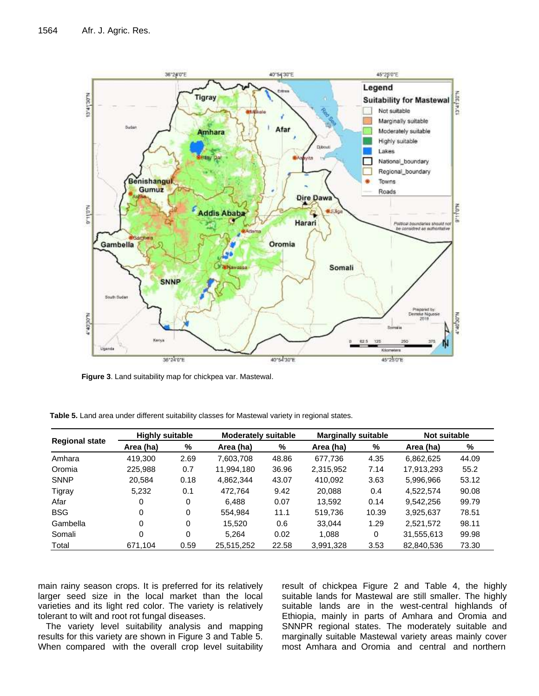

**Figure 3**. Land suitability map for chickpea var. Mastewal.

|                       | <b>Highly suitable</b> |      | <b>Moderately suitable</b> |       | <b>Marginally suitable</b> |       | <b>Not suitable</b> |       |
|-----------------------|------------------------|------|----------------------------|-------|----------------------------|-------|---------------------|-------|
| <b>Regional state</b> | Area (ha)              | %    | Area (ha)                  | %     | Area (ha)                  | %     | Area (ha)           | %     |
| Amhara                | 419,300                | 2.69 | 7.603.708                  | 48.86 | 677.736                    | 4.35  | 6,862,625           | 44.09 |
| Oromia                | 225.988                | 0.7  | 11.994.180                 | 36.96 | 2,315,952                  | 7.14  | 17,913,293          | 55.2  |
| <b>SNNP</b>           | 20.584                 | 0.18 | 4.862.344                  | 43.07 | 410.092                    | 3.63  | 5.996.966           | 53.12 |
| Tigray                | 5,232                  | 0.1  | 472.764                    | 9.42  | 20.088                     | 0.4   | 4.522.574           | 90.08 |
| Afar                  | 0                      | 0    | 6.488                      | 0.07  | 13.592                     | 0.14  | 9,542,256           | 99.79 |
| <b>BSG</b>            | 0                      | 0    | 554.984                    | 11.1  | 519,736                    | 10.39 | 3,925,637           | 78.51 |
| Gambella              | 0                      | 0    | 15.520                     | 0.6   | 33.044                     | 1.29  | 2,521,572           | 98.11 |
| Somali                | 0                      | 0    | 5.264                      | 0.02  | 1.088                      | 0     | 31,555,613          | 99.98 |
| Total                 | 671,104                | 0.59 | 25,515,252                 | 22.58 | 3,991,328                  | 3.53  | 82,840,536          | 73.30 |

**Table 5.** Land area under different suitability classes for Mastewal variety in regional states.

main rainy season crops. It is preferred for its relatively larger seed size in the local market than the local varieties and its light red color. The variety is relatively tolerant to wilt and root rot fungal diseases.

The variety level suitability analysis and mapping results for this variety are shown in Figure 3 and Table 5. When compared with the overall crop level suitability

result of chickpea Figure 2 and Table 4, the highly suitable lands for Mastewal are still smaller. The highly suitable lands are in the west-central highlands of Ethiopia, mainly in parts of Amhara and Oromia and SNNPR regional states. The moderately suitable and marginally suitable Mastewal variety areas mainly cover most Amhara and Oromia and central and northern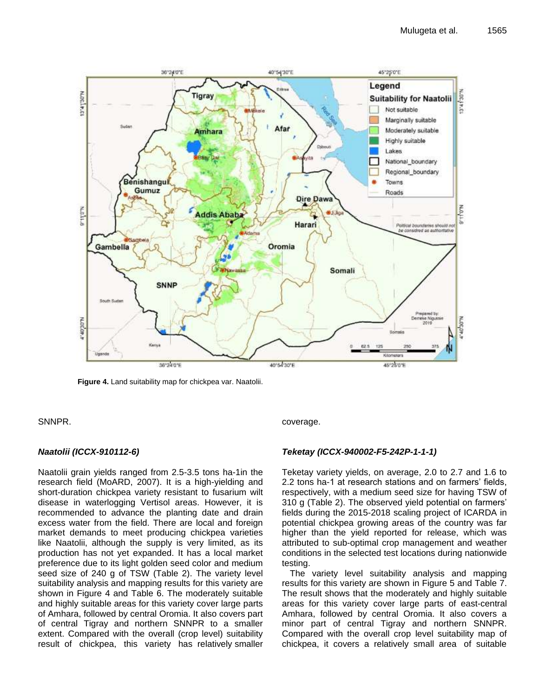

**Figure 4.** Land suitability map for chickpea var. Naatolii.

SNNPR.

# *Naatolii (ICCX-910112-6)*

Naatolii grain yields ranged from 2.5-3.5 tons ha-1in the research field (MoARD, 2007). It is a high-yielding and short-duration chickpea variety resistant to fusarium wilt disease in waterlogging Vertisol areas. However, it is recommended to advance the planting date and drain excess water from the field. There are local and foreign market demands to meet producing chickpea varieties like Naatolii, although the supply is very limited, as its production has not yet expanded. It has a local market preference due to its light golden seed color and medium seed size of 240 g of TSW (Table 2). The variety level suitability analysis and mapping results for this variety are shown in Figure 4 and Table 6. The moderately suitable and highly suitable areas for this variety cover large parts of Amhara, followed by central Oromia. It also covers part of central Tigray and northern SNNPR to a smaller extent. Compared with the overall (crop level) suitability result of chickpea, this variety has relatively smaller coverage.

# *Teketay (ICCX-940002-F5-242P-1-1-1)*

Teketay variety yields, on average, 2.0 to 2.7 and 1.6 to 2.2 tons ha-1 at research stations and on farmers' fields, respectively, with a medium seed size for having TSW of 310 g (Table 2). The observed yield potential on farmers' fields during the 2015-2018 scaling project of ICARDA in potential chickpea growing areas of the country was far higher than the yield reported for release, which was attributed to sub-optimal crop management and weather conditions in the selected test locations during nationwide testing.

The variety level suitability analysis and mapping results for this variety are shown in Figure 5 and Table 7. The result shows that the moderately and highly suitable areas for this variety cover large parts of east-central Amhara, followed by central Oromia. It also covers a minor part of central Tigray and northern SNNPR. Compared with the overall crop level suitability map of chickpea, it covers a relatively small area of suitable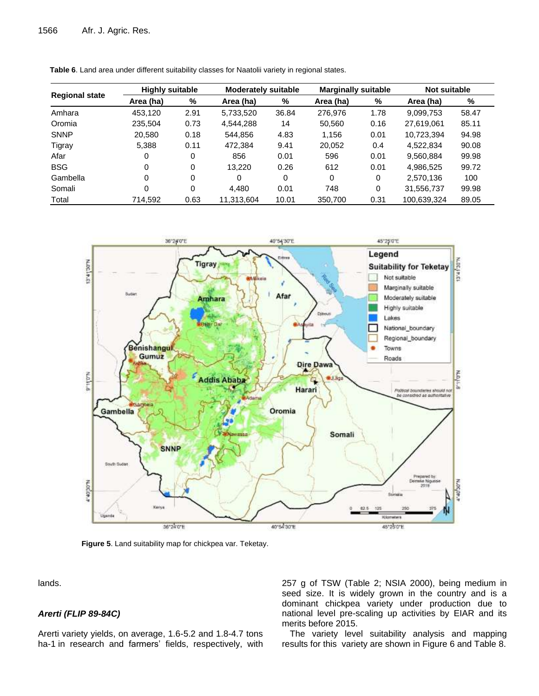|                       | <b>Highly suitable</b> |      |            | <b>Moderately suitable</b> |           | <b>Marginally suitable</b> |             | Not suitable |  |
|-----------------------|------------------------|------|------------|----------------------------|-----------|----------------------------|-------------|--------------|--|
| <b>Regional state</b> | Area (ha)              | %    | Area (ha)  | %                          | Area (ha) | %                          | Area (ha)   | %            |  |
| Amhara                | 453.120                | 2.91 | 5,733,520  | 36.84                      | 276,976   | 1.78                       | 9,099,753   | 58.47        |  |
| Oromia                | 235,504                | 0.73 | 4,544,288  | 14                         | 50,560    | 0.16                       | 27,619,061  | 85.11        |  |
| <b>SNNP</b>           | 20,580                 | 0.18 | 544.856    | 4.83                       | 1.156     | 0.01                       | 10,723,394  | 94.98        |  |
| Tigray                | 5,388                  | 0.11 | 472,384    | 9.41                       | 20,052    | 0.4                        | 4,522,834   | 90.08        |  |
| Afar                  | 0                      | 0    | 856        | 0.01                       | 596       | 0.01                       | 9.560.884   | 99.98        |  |
| <b>BSG</b>            | 0                      | 0    | 13.220     | 0.26                       | 612       | 0.01                       | 4.986.525   | 99.72        |  |
| Gambella              | 0                      | 0    | 0          | 0                          | 0         | 0                          | 2.570.136   | 100          |  |
| Somali                | 0                      | 0    | 4.480      | 0.01                       | 748       | 0                          | 31,556,737  | 99.98        |  |
| Total                 | 714.592                | 0.63 | 11,313,604 | 10.01                      | 350,700   | 0.31                       | 100,639,324 | 89.05        |  |





**Figure 5**. Land suitability map for chickpea var. Teketay.

lands.

## *Arerti (FLIP 89-84C)*

Arerti variety yields, on average, 1.6-5.2 and 1.8-4.7 tons ha-1 in research and farmers' fields, respectively, with 257 g of TSW (Table 2; NSIA 2000), being medium in seed size. It is widely grown in the country and is a dominant chickpea variety under production due to national level pre-scaling up activities by EIAR and its merits before 2015.

The variety level suitability analysis and mapping results for this variety are shown in Figure 6 and Table 8.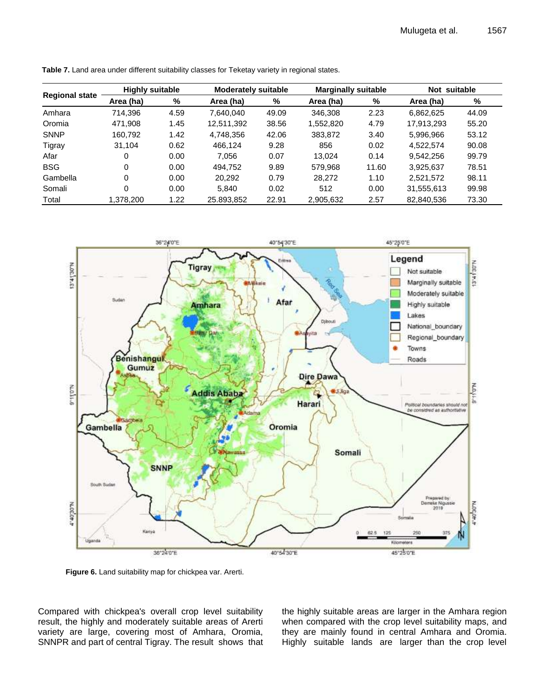|                       | <b>Highly suitable</b> |      |            | <b>Moderately suitable</b> |           | <b>Marginally suitable</b> |            | Not suitable |  |
|-----------------------|------------------------|------|------------|----------------------------|-----------|----------------------------|------------|--------------|--|
| <b>Regional state</b> | Area (ha)              | %    | Area (ha)  | %                          | Area (ha) | %                          | Area (ha)  | %            |  |
| Amhara                | 714.396                | 4.59 | 7.640.040  | 49.09                      | 346.308   | 2.23                       | 6.862.625  | 44.09        |  |
| Oromia                | 471.908                | 1.45 | 12.511.392 | 38.56                      | 1.552.820 | 4.79                       | 17.913.293 | 55.20        |  |
| <b>SNNP</b>           | 160.792                | 1.42 | 4.748.356  | 42.06                      | 383,872   | 3.40                       | 5,996,966  | 53.12        |  |
| Tigray                | 31.104                 | 0.62 | 466.124    | 9.28                       | 856       | 0.02                       | 4.522.574  | 90.08        |  |
| Afar                  | 0                      | 0.00 | 7.056      | 0.07                       | 13.024    | 0.14                       | 9.542.256  | 99.79        |  |
| <b>BSG</b>            | 0                      | 0.00 | 494.752    | 9.89                       | 579.968   | 11.60                      | 3,925,637  | 78.51        |  |
| Gambella              | 0                      | 0.00 | 20.292     | 0.79                       | 28,272    | 1.10                       | 2,521,572  | 98.11        |  |
| Somali                | 0                      | 0.00 | 5.840      | 0.02                       | 512       | 0.00                       | 31,555,613 | 99.98        |  |
| Total                 | 1,378,200              | 1.22 | 25.893,852 | 22.91                      | 2,905,632 | 2.57                       | 82,840,536 | 73.30        |  |

**Table 7.** Land area under different suitability classes for Teketay variety in regional states.



Compared with chickpea's overall crop level suitability result, the highly and moderately suitable areas of Arerti variety are large, covering most of Amhara, Oromia, SNNPR and part of central Tigray. The result shows that the highly suitable areas are larger in the Amhara region when compared with the crop level suitability maps, and they are mainly found in central Amhara and Oromia. Highly suitable lands are larger than the crop level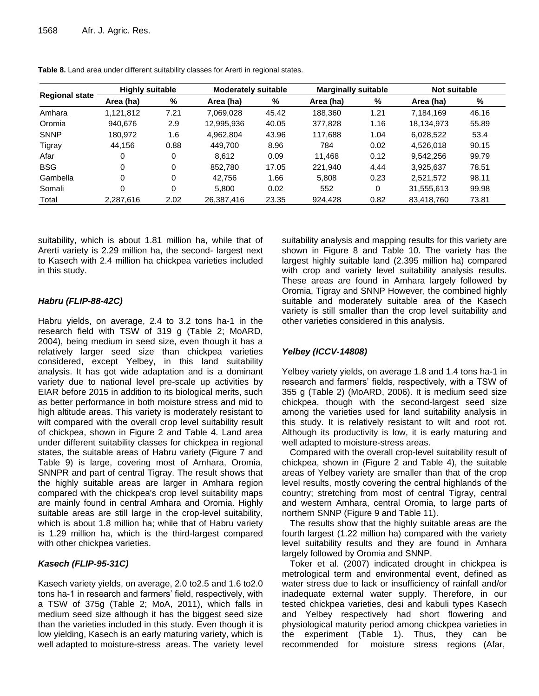|                       | <b>Highly suitable</b> |      |            | <b>Moderately suitable</b> |           | <b>Marginally suitable</b> |            | <b>Not suitable</b> |  |
|-----------------------|------------------------|------|------------|----------------------------|-----------|----------------------------|------------|---------------------|--|
| <b>Regional state</b> | Area (ha)              | %    | Area (ha)  | %                          | Area (ha) | %                          | Area (ha)  | %                   |  |
| Amhara                | 1,121,812              | 7.21 | 7.069.028  | 45.42                      | 188,360   | 1.21                       | 7,184,169  | 46.16               |  |
| Oromia                | 940.676                | 2.9  | 12,995,936 | 40.05                      | 377,828   | 1.16                       | 18,134,973 | 55.89               |  |
| <b>SNNP</b>           | 180.972                | 1.6  | 4.962.804  | 43.96                      | 117.688   | 1.04                       | 6,028,522  | 53.4                |  |
| Tigray                | 44.156                 | 0.88 | 449.700    | 8.96                       | 784       | 0.02                       | 4,526,018  | 90.15               |  |
| Afar                  | 0                      | 0    | 8.612      | 0.09                       | 11.468    | 0.12                       | 9.542.256  | 99.79               |  |
| <b>BSG</b>            | 0                      | 0    | 852.780    | 17.05                      | 221.940   | 4.44                       | 3,925,637  | 78.51               |  |
| Gambella              | 0                      | 0    | 42.756     | 1.66                       | 5,808     | 0.23                       | 2.521.572  | 98.11               |  |
| Somali                | 0                      | 0    | 5.800      | 0.02                       | 552       | 0                          | 31,555,613 | 99.98               |  |
| Total                 | 2.287.616              | 2.02 | 26,387,416 | 23.35                      | 924,428   | 0.82                       | 83,418,760 | 73.81               |  |

**Table 8.** Land area under different suitability classes for Arerti in regional states.

suitability, which is about 1.81 million ha, while that of Arerti variety is 2.29 million ha, the second- largest next to Kasech with 2.4 million ha chickpea varieties included in this study.

## *Habru (FLIP-88-42C)*

Habru yields, on average, 2.4 to 3.2 tons ha-1 in the research field with TSW of 319 g (Table 2; MoARD, 2004), being medium in seed size, even though it has a relatively larger seed size than chickpea varieties considered, except Yelbey, in this land suitability analysis. It has got wide adaptation and is a dominant variety due to national level pre-scale up activities by EIAR before 2015 in addition to its biological merits, such as better performance in both moisture stress and mid to high altitude areas. This variety is moderately resistant to wilt compared with the overall crop level suitability result of chickpea, shown in Figure 2 and Table 4. Land area under different suitability classes for chickpea in regional states, the suitable areas of Habru variety (Figure 7 and Table 9) is large, covering most of Amhara, Oromia, SNNPR and part of central Tigray. The result shows that the highly suitable areas are larger in Amhara region compared with the chickpea's crop level suitability maps are mainly found in central Amhara and Oromia. Highly suitable areas are still large in the crop-level suitability, which is about 1.8 million ha; while that of Habru variety is 1.29 million ha, which is the third-largest compared with other chickpea varieties.

# *Kasech (FLIP-95-31C)*

Kasech variety yields, on average, 2.0 to2.5 and 1.6 to2.0 tons ha-1 in research and farmers' field, respectively, with a TSW of 375g (Table 2; MoA, 2011), which falls in medium seed size although it has the biggest seed size than the varieties included in this study. Even though it is low yielding, Kasech is an early maturing variety, which is well adapted to moisture-stress areas. The variety level suitability analysis and mapping results for this variety are shown in Figure 8 and Table 10. The variety has the largest highly suitable land (2.395 million ha) compared with crop and variety level suitability analysis results. These areas are found in Amhara largely followed by Oromia, Tigray and SNNP However, the combined highly suitable and moderately suitable area of the Kasech variety is still smaller than the crop level suitability and other varieties considered in this analysis.

# *Yelbey (ICCV-14808)*

Yelbey variety yields, on average 1.8 and 1.4 tons ha-1 in research and farmers' fields, respectively, with a TSW of 355 g (Table 2) (MoARD, 2006). It is medium seed size chickpea, though with the second-largest seed size among the varieties used for land suitability analysis in this study. It is relatively resistant to wilt and root rot. Although its productivity is low, it is early maturing and well adapted to moisture-stress areas.

Compared with the overall crop-level suitability result of chickpea, shown in (Figure 2 and Table 4), the suitable areas of Yelbey variety are smaller than that of the crop level results, mostly covering the central highlands of the country; stretching from most of central Tigray, central and western Amhara, central Oromia, to large parts of northern SNNP (Figure 9 and Table 11).

The results show that the highly suitable areas are the fourth largest (1.22 million ha) compared with the variety level suitability results and they are found in Amhara largely followed by Oromia and SNNP.

Toker et al. (2007) indicated drought in chickpea is metrological term and environmental event, defined as water stress due to lack or insufficiency of rainfall and/or inadequate external water supply. Therefore, in our tested chickpea varieties, desi and kabuli types Kasech and Yelbey respectively had short flowering and physiological maturity period among chickpea varieties in the experiment (Table 1). Thus, they can be recommended for moisture stress regions (Afar,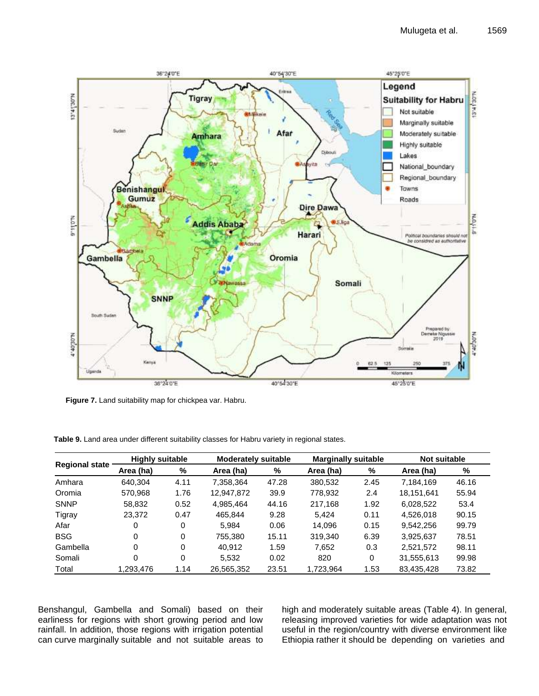

**Figure 7.** Land suitability map for chickpea var. Habru.

|                       | <b>Highly suitable</b> |          |            | <b>Moderately suitable</b> |           | <b>Marginally suitable</b> |            | <b>Not suitable</b> |
|-----------------------|------------------------|----------|------------|----------------------------|-----------|----------------------------|------------|---------------------|
| <b>Regional state</b> | Area (ha)              | %        | Area (ha)  | %                          | Area (ha) | %                          | Area (ha)  | %                   |
| Amhara                | 640.304                | 4.11     | 7.358.364  | 47.28                      | 380.532   | 2.45                       | 7.184.169  | 46.16               |
| Oromia                | 570.968                | 1.76     | 12.947.872 | 39.9                       | 778,932   | 2.4                        | 18,151,641 | 55.94               |
| <b>SNNP</b>           | 58,832                 | 0.52     | 4,985,464  | 44.16                      | 217,168   | 1.92                       | 6,028,522  | 53.4                |
| Tigray                | 23,372                 | 0.47     | 465.844    | 9.28                       | 5.424     | 0.11                       | 4.526.018  | 90.15               |
| Afar                  | 0                      | 0        | 5.984      | 0.06                       | 14.096    | 0.15                       | 9.542.256  | 99.79               |
| <b>BSG</b>            | 0                      | $\Omega$ | 755.380    | 15.11                      | 319,340   | 6.39                       | 3,925,637  | 78.51               |
| Gambella              | 0                      | 0        | 40.912     | 1.59                       | 7.652     | 0.3                        | 2,521,572  | 98.11               |
| Somali                | 0                      | 0        | 5.532      | 0.02                       | 820       | 0                          | 31,555,613 | 99.98               |
| Total                 | 1.293.476              | 1.14     | 26,565,352 | 23.51                      | 1.723.964 | 1.53                       | 83,435,428 | 73.82               |

**Table 9.** Land area under different suitability classes for Habru variety in regional states.

Benshangul, Gambella and Somali) based on their earliness for regions with short growing period and low rainfall. In addition, those regions with irrigation potential can curve marginally suitable and not suitable areas to high and moderately suitable areas (Table 4). In general, releasing improved varieties for wide adaptation was not useful in the region/country with diverse environment like Ethiopia rather it should be depending on varieties and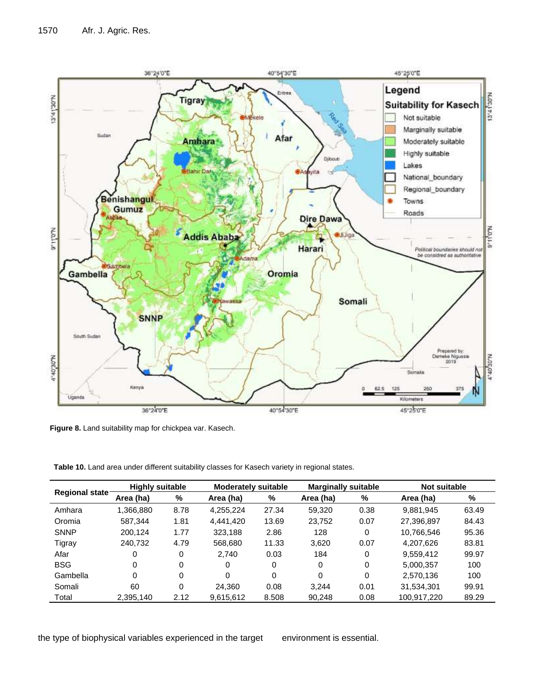

**Figure 8.** Land suitability map for chickpea var. Kasech.

**Table 10.** Land area under different suitability classes for Kasech variety in regional states.

| <b>Regional state</b> | <b>Highly suitable</b> |      | <b>Moderately suitable</b> |       | <b>Marginally suitable</b> |      | Not suitable |       |
|-----------------------|------------------------|------|----------------------------|-------|----------------------------|------|--------------|-------|
|                       | Area (ha)              | %    | Area (ha)                  | %     | Area (ha)                  | %    | Area (ha)    | %     |
| Amhara                | 1.366.880              | 8.78 | 4,255,224                  | 27.34 | 59.320                     | 0.38 | 9.881.945    | 63.49 |
| Oromia                | 587.344                | 1.81 | 4,441,420                  | 13.69 | 23.752                     | 0.07 | 27,396,897   | 84.43 |
| <b>SNNP</b>           | 200.124                | 1.77 | 323.188                    | 2.86  | 128                        | 0    | 10,766,546   | 95.36 |
| Tigray                | 240.732                | 4.79 | 568,680                    | 11.33 | 3.620                      | 0.07 | 4.207.626    | 83.81 |
| Afar                  | 0                      | 0    | 2.740                      | 0.03  | 184                        | 0    | 9,559,412    | 99.97 |
| <b>BSG</b>            | 0                      | 0    | 0                          | 0     | 0                          | 0    | 5,000,357    | 100   |
| Gambella              | 0                      | 0    | 0                          | 0     | 0                          | 0    | 2,570,136    | 100   |
| Somali                | 60                     | 0    | 24.360                     | 0.08  | 3.244                      | 0.01 | 31,534,301   | 99.91 |
| Total                 | 2,395,140              | 2.12 | 9,615,612                  | 8.508 | 90,248                     | 0.08 | 100,917,220  | 89.29 |

the type of biophysical variables experienced in the target environment is essential.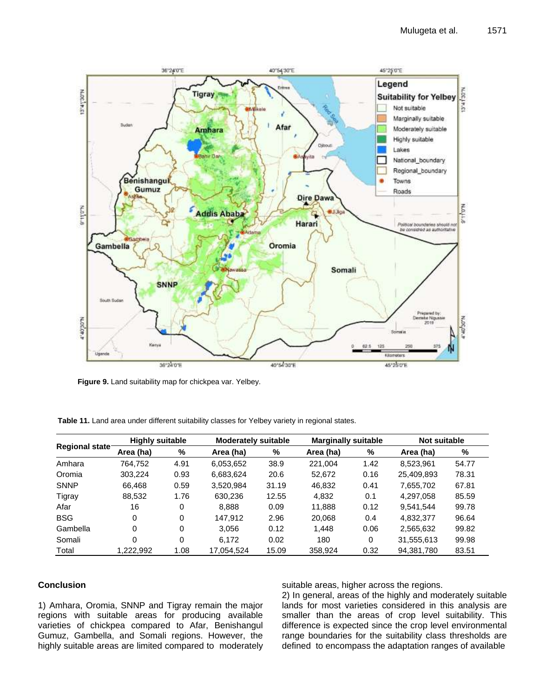

**Figure 9.** Land suitability map for chickpea var. Yelbey.

|                       | <b>Highly suitable</b> |      |            | <b>Moderately suitable</b> |           | <b>Marginally suitable</b> |            | <b>Not suitable</b> |  |
|-----------------------|------------------------|------|------------|----------------------------|-----------|----------------------------|------------|---------------------|--|
| <b>Regional state</b> | Area (ha)              | %    | Area (ha)  | %                          | Area (ha) | %                          | Area (ha)  | %                   |  |
| Amhara                | 764.752                | 4.91 | 6,053,652  | 38.9                       | 221.004   | 1.42                       | 8.523.961  | 54.77               |  |
| Oromia                | 303.224                | 0.93 | 6,683,624  | 20.6                       | 52,672    | 0.16                       | 25.409.893 | 78.31               |  |
| <b>SNNP</b>           | 66.468                 | 0.59 | 3,520,984  | 31.19                      | 46,832    | 0.41                       | 7,655,702  | 67.81               |  |
| Tigray                | 88,532                 | 1.76 | 630.236    | 12.55                      | 4.832     | 0.1                        | 4.297.058  | 85.59               |  |
| Afar                  | 16                     | 0    | 8.888      | 0.09                       | 11.888    | 0.12                       | 9.541.544  | 99.78               |  |
| <b>BSG</b>            | 0                      | 0    | 147.912    | 2.96                       | 20,068    | 0.4                        | 4,832,377  | 96.64               |  |
| Gambella              | 0                      | 0    | 3.056      | 0.12                       | 1.448     | 0.06                       | 2,565,632  | 99.82               |  |
| Somali                | 0                      | 0    | 6.172      | 0.02                       | 180       | 0                          | 31,555,613 | 99.98               |  |
| Total                 | 1.222.992              | 1.08 | 17.054.524 | 15.09                      | 358.924   | 0.32                       | 94,381,780 | 83.51               |  |

**Table 11.** Land area under different suitability classes for Yelbey variety in regional states.

## **Conclusion**

1) Amhara, Oromia, SNNP and Tigray remain the major regions with suitable areas for producing available varieties of chickpea compared to Afar, Benishangul Gumuz, Gambella, and Somali regions. However, the highly suitable areas are limited compared to moderately suitable areas, higher across the regions.

2) In general, areas of the highly and moderately suitable lands for most varieties considered in this analysis are smaller than the areas of crop level suitability. This difference is expected since the crop level environmental range boundaries for the suitability class thresholds are defined to encompass the adaptation ranges of available